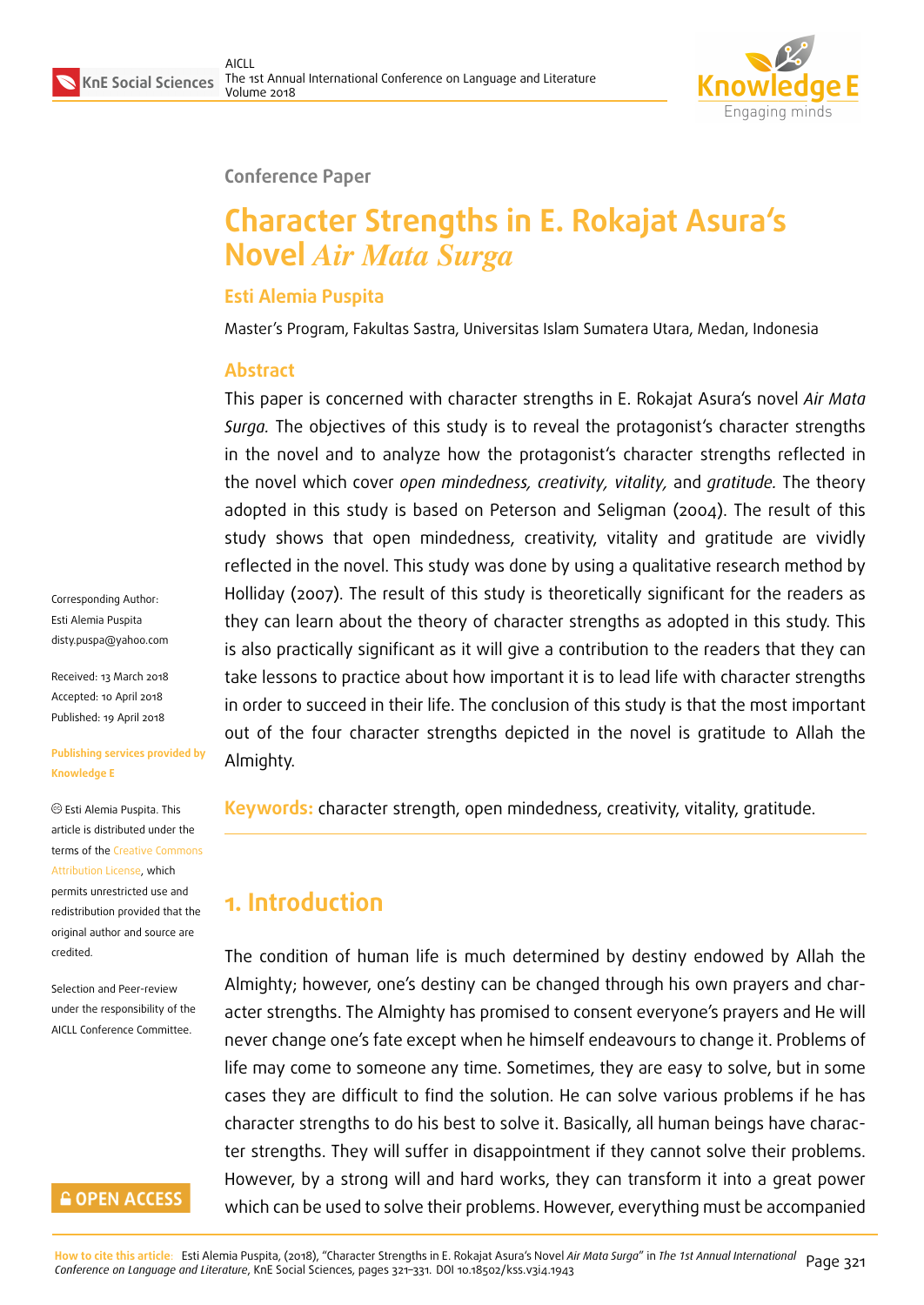

#### **Conference Paper**

# **Character Strengths in E. Rokajat Asura's Novel** *Air Mata Surga*

#### **Esti Alemia Puspita**

Master's Program, Fakultas Sastra, Universitas Islam Sumatera Utara, Medan, Indonesia

#### **Abstract**

This paper is concerned with character strengths in E. Rokajat Asura's novel *Air Mata Surga.* The objectives of this study is to reveal the protagonist's character strengths in the novel and to analyze how the protagonist's character strengths reflected in the novel which cover *open mindedness, creativity, vitality,* and *gratitude.* The theory adopted in this study is based on Peterson and Seligman (2004). The result of this study shows that open mindedness, creativity, vitality and gratitude are vividly reflected in the novel. This study was done by using a qualitative research method by Holliday (2007). The result of this study is theoretically significant for the readers as they can learn about the theory of character strengths as adopted in this study. This is also practically significant as it will give a contribution to the readers that they can take lessons to practice about how important it is to lead life with character strengths in order to succeed in their life. The conclusion of this study is that the most important out of the four character strengths depicted in the novel is gratitude to Allah the Almighty.

**Keywords:** character strength, open mindedness, creativity, vitality, gratitude.

## **1. Introduction**

The condition of human life is much determined by destiny endowed by Allah the Almighty; however, one's destiny can be changed through his own prayers and character strengths. The Almighty has promised to consent everyone's prayers and He will never change one's fate except when he himself endeavours to change it. Problems of life may come to someone any time. Sometimes, they are easy to solve, but in some cases they are difficult to find the solution. He can solve various problems if he has character strengths to do his best to solve it. Basically, all human beings have character strengths. They will suffer in disappointment if they cannot solve their problems. However, by a strong will and hard works, they can transform it into a great power which can be used to solve their problems. However, everything must be accompanied

Corresponding Author: Esti Alemia Puspita disty.puspa@yahoo.com

Received: 13 March 2018 Accepted: 10 April 2018 [Published: 19 April 2018](mailto:disty.puspa@yahoo.com)

#### **Publishing services provided by Knowledge E**

Esti Alemia Puspita. This article is distributed under the terms of the Creative Commons Attribution License, which permits unrestricted use and redistribution provided that the original auth[or and source are](https://creativecommons.org/licenses/by/4.0/) [credited.](https://creativecommons.org/licenses/by/4.0/)

Selection and Peer-review under the responsibility of the AICLL Conference Committee.

#### **GOPEN ACCESS**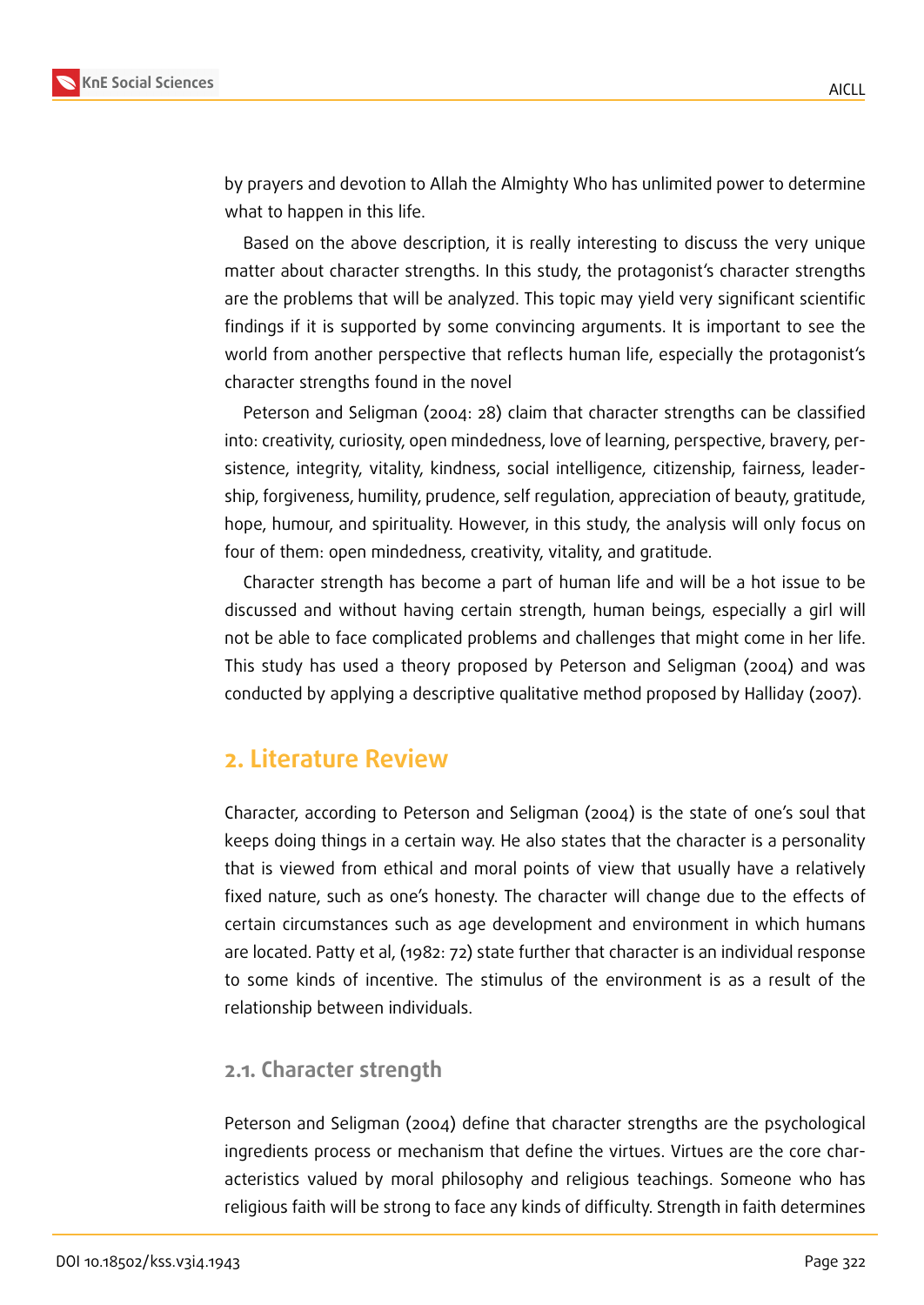

by prayers and devotion to Allah the Almighty Who has unlimited power to determine what to happen in this life.

Based on the above description, it is really interesting to discuss the very unique matter about character strengths. In this study, the protagonist's character strengths are the problems that will be analyzed. This topic may yield very significant scientific findings if it is supported by some convincing arguments. It is important to see the world from another perspective that reflects human life, especially the protagonist's character strengths found in the novel

Peterson and Seligman (2004: 28) claim that character strengths can be classified into: creativity, curiosity, open mindedness, love of learning, perspective, bravery, persistence, integrity, vitality, kindness, social intelligence, citizenship, fairness, leadership, forgiveness, humility, prudence, self regulation, appreciation of beauty, gratitude, hope, humour, and spirituality. However, in this study, the analysis will only focus on four of them: open mindedness, creativity, vitality, and gratitude.

Character strength has become a part of human life and will be a hot issue to be discussed and without having certain strength, human beings, especially a girl will not be able to face complicated problems and challenges that might come in her life. This study has used a theory proposed by Peterson and Seligman (2004) and was conducted by applying a descriptive qualitative method proposed by Halliday (2007).

#### **2. Literature Review**

Character, according to Peterson and Seligman (2004) is the state of one's soul that keeps doing things in a certain way. He also states that the character is a personality that is viewed from ethical and moral points of view that usually have a relatively fixed nature, such as one's honesty. The character will change due to the effects of certain circumstances such as age development and environment in which humans are located. Patty et al, (1982: 72) state further that character is an individual response to some kinds of incentive. The stimulus of the environment is as a result of the relationship between individuals.

#### **2.1. Character strength**

Peterson and Seligman (2004) define that character strengths are the psychological ingredients process or mechanism that define the virtues. Virtues are the core characteristics valued by moral philosophy and religious teachings. Someone who has religious faith will be strong to face any kinds of difficulty. Strength in faith determines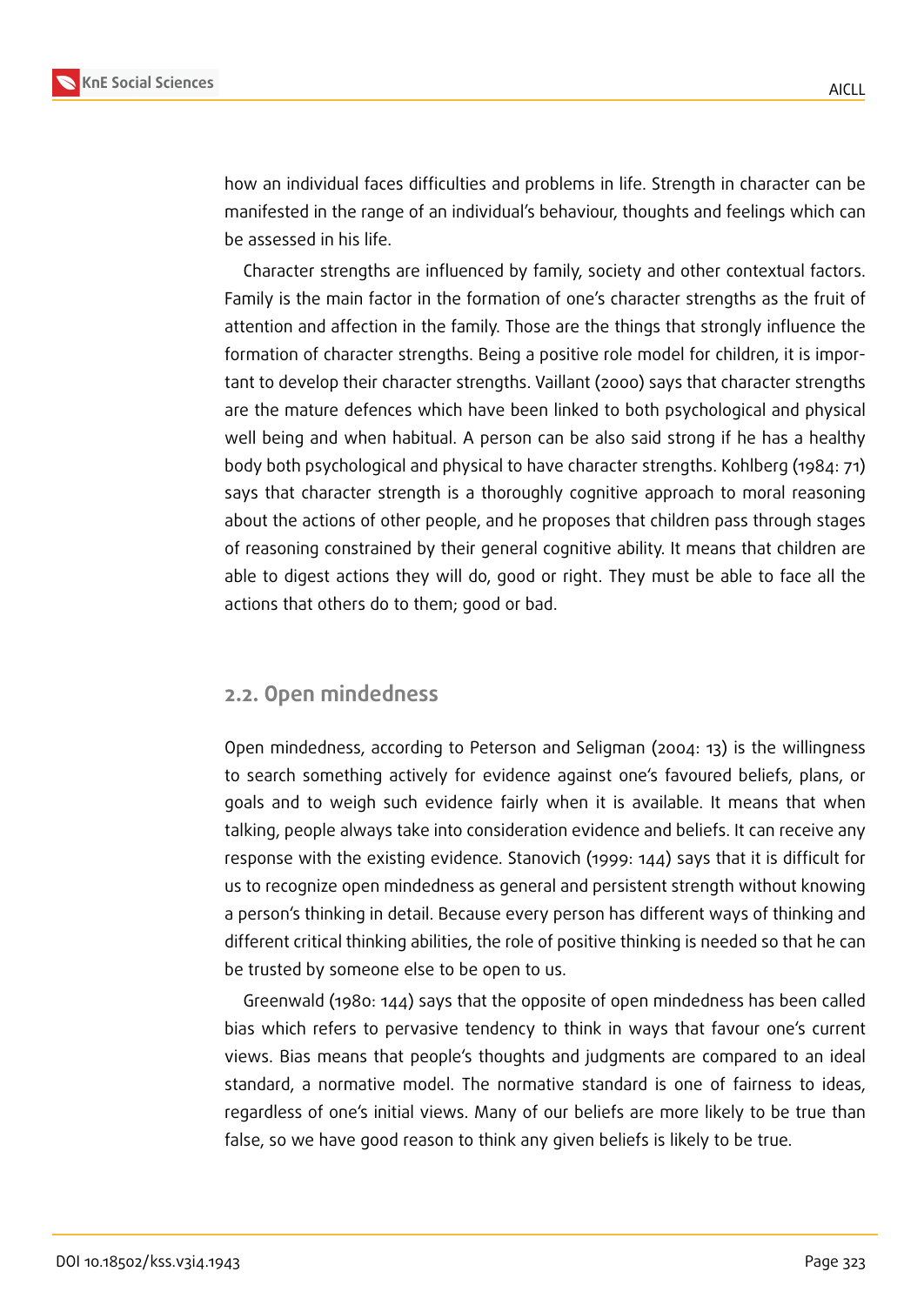

how an individual faces difficulties and problems in life. Strength in character can be manifested in the range of an individual's behaviour, thoughts and feelings which can be assessed in his life.

Character strengths are influenced by family, society and other contextual factors. Family is the main factor in the formation of one's character strengths as the fruit of attention and affection in the family. Those are the things that strongly influence the formation of character strengths. Being a positive role model for children, it is important to develop their character strengths. Vaillant (2000) says that character strengths are the mature defences which have been linked to both psychological and physical well being and when habitual. A person can be also said strong if he has a healthy body both psychological and physical to have character strengths. Kohlberg (1984: 71) says that character strength is a thoroughly cognitive approach to moral reasoning about the actions of other people, and he proposes that children pass through stages of reasoning constrained by their general cognitive ability. It means that children are able to digest actions they will do, good or right. They must be able to face all the actions that others do to them; good or bad.

#### **2.2. Open mindedness**

Open mindedness, according to Peterson and Seligman (2004: 13) is the willingness to search something actively for evidence against one's favoured beliefs, plans, or goals and to weigh such evidence fairly when it is available. It means that when talking, people always take into consideration evidence and beliefs. It can receive any response with the existing evidence. Stanovich (1999: 144) says that it is difficult for us to recognize open mindedness as general and persistent strength without knowing a person's thinking in detail. Because every person has different ways of thinking and different critical thinking abilities, the role of positive thinking is needed so that he can be trusted by someone else to be open to us.

Greenwald (1980: 144) says that the opposite of open mindedness has been called bias which refers to pervasive tendency to think in ways that favour one's current views. Bias means that people's thoughts and judgments are compared to an ideal standard, a normative model. The normative standard is one of fairness to ideas, regardless of one's initial views. Many of our beliefs are more likely to be true than false, so we have good reason to think any given beliefs is likely to be true.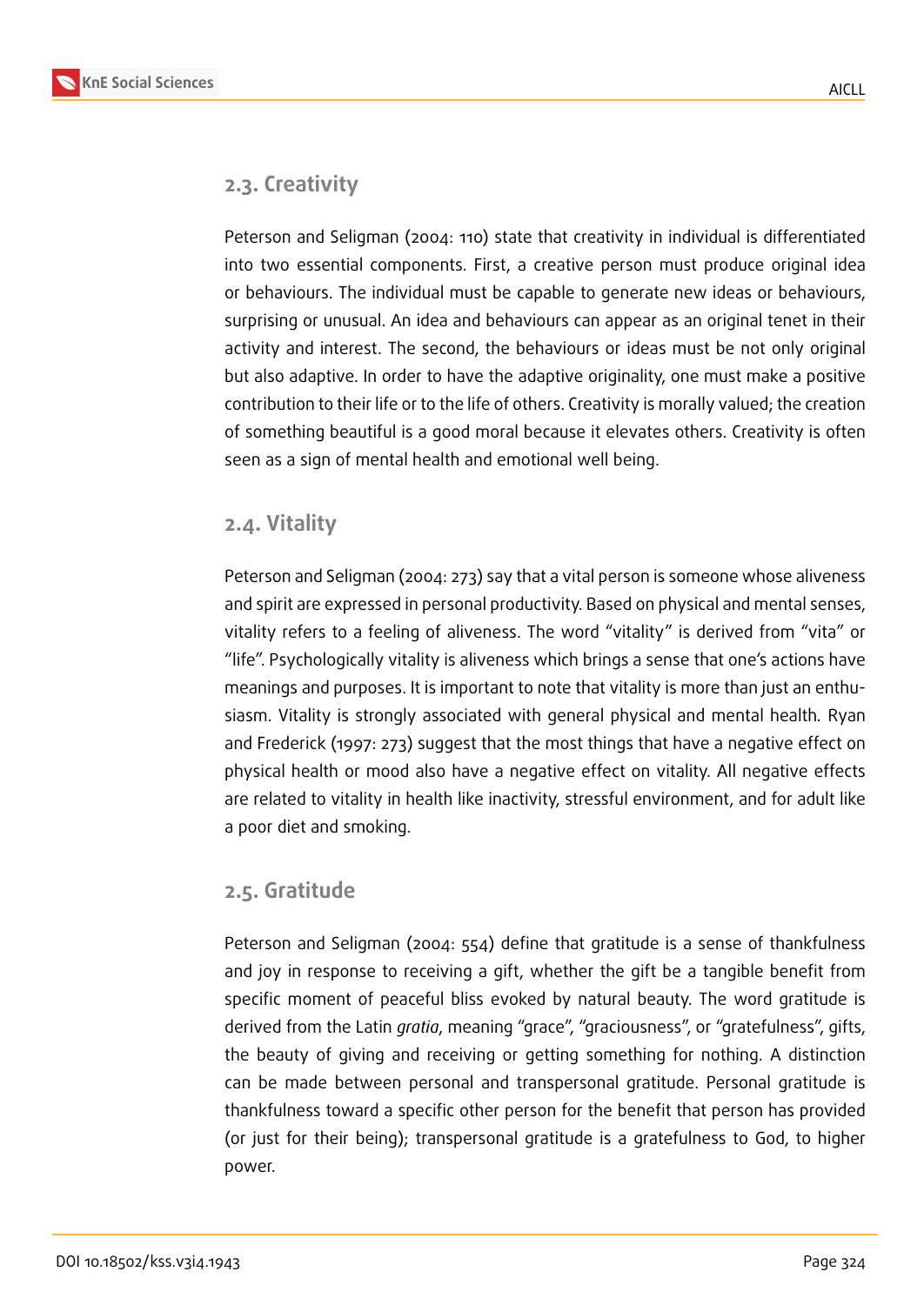



Peterson and Seligman (2004: 110) state that creativity in individual is differentiated into two essential components. First, a creative person must produce original idea or behaviours. The individual must be capable to generate new ideas or behaviours, surprising or unusual. An idea and behaviours can appear as an original tenet in their activity and interest. The second, the behaviours or ideas must be not only original but also adaptive. In order to have the adaptive originality, one must make a positive contribution to their life or to the life of others. Creativity is morally valued; the creation of something beautiful is a good moral because it elevates others. Creativity is often seen as a sign of mental health and emotional well being.

#### **2.4. Vitality**

Peterson and Seligman (2004: 273) say that a vital person is someone whose aliveness and spirit are expressed in personal productivity. Based on physical and mental senses, vitality refers to a feeling of aliveness. The word "vitality" is derived from "vita" or "life". Psychologically vitality is aliveness which brings a sense that one's actions have meanings and purposes. It is important to note that vitality is more than just an enthusiasm. Vitality is strongly associated with general physical and mental health*.* Ryan and Frederick (1997: 273) suggest that the most things that have a negative effect on physical health or mood also have a negative effect on vitality. All negative effects are related to vitality in health like inactivity, stressful environment, and for adult like a poor diet and smoking.

#### **2.5. Gratitude**

Peterson and Seligman (2004: 554) define that gratitude is a sense of thankfulness and joy in response to receiving a gift, whether the gift be a tangible benefit from specific moment of peaceful bliss evoked by natural beauty. The word gratitude is derived from the Latin *gratia*, meaning "grace", "graciousness", or "gratefulness", gifts, the beauty of giving and receiving or getting something for nothing. A distinction can be made between personal and transpersonal gratitude. Personal gratitude is thankfulness toward a specific other person for the benefit that person has provided (or just for their being); transpersonal gratitude is a gratefulness to God, to higher power.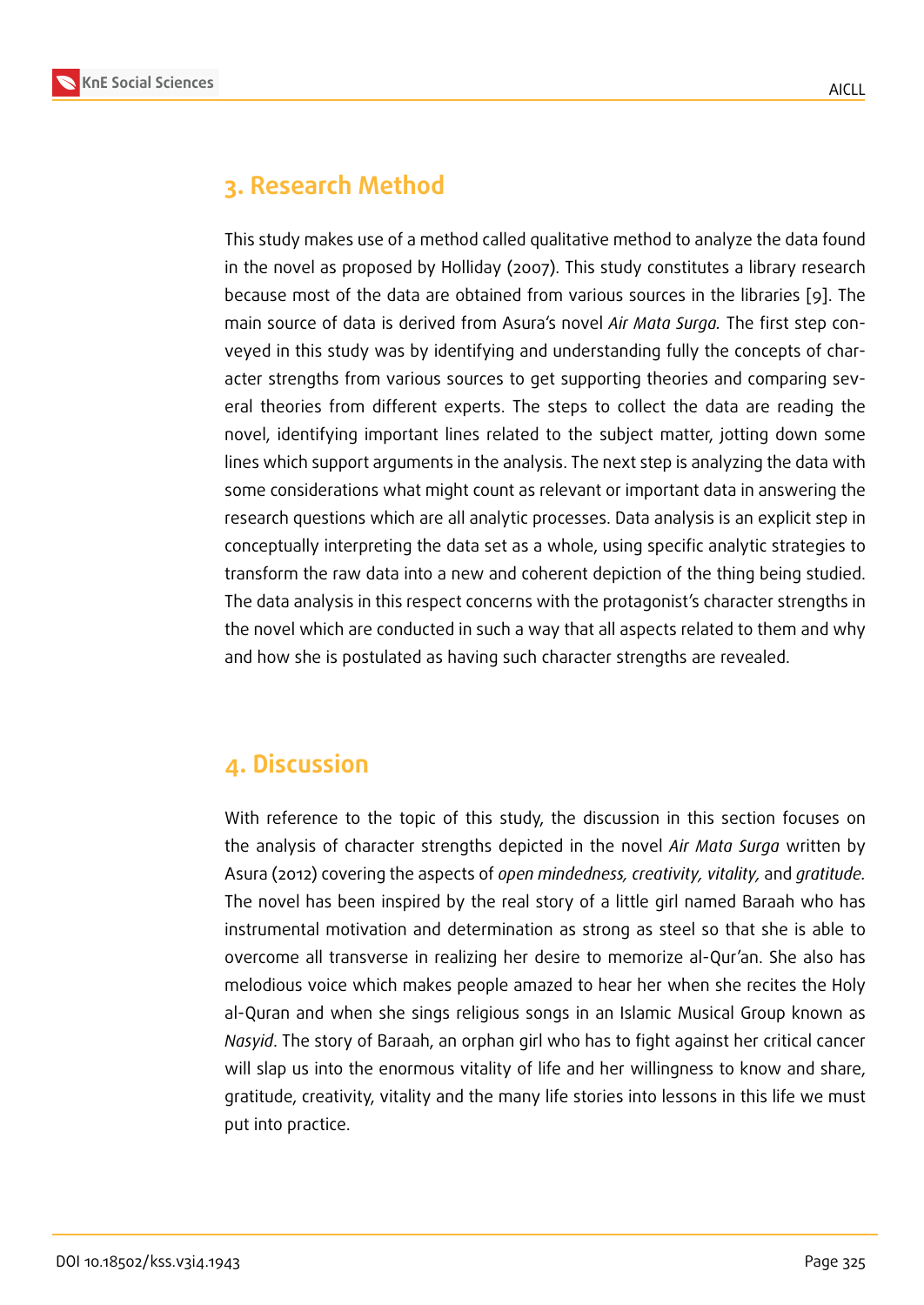## **3. Research Method**

This study makes use of a method called qualitative method to analyze the data found in the novel as proposed by Holliday (2007). This study constitutes a library research because most of the data are obtained from various sources in the libraries [9]. The main source of data is derived from Asura's novel *Air Mata Surga.* The first step conveyed in this study was by identifying and understanding fully the concepts of character strengths from various sources to get supporting theories and compari[ng](#page-10-0) several theories from different experts. The steps to collect the data are reading the novel, identifying important lines related to the subject matter, jotting down some lines which support arguments in the analysis. The next step is analyzing the data with some considerations what might count as relevant or important data in answering the research questions which are all analytic processes. Data analysis is an explicit step in conceptually interpreting the data set as a whole, using specific analytic strategies to transform the raw data into a new and coherent depiction of the thing being studied. The data analysis in this respect concerns with the protagonist's character strengths in the novel which are conducted in such a way that all aspects related to them and why and how she is postulated as having such character strengths are revealed.

## **4. Discussion**

With reference to the topic of this study, the discussion in this section focuses on the analysis of character strengths depicted in the novel *Air Mata Surga* written by Asura (2012) covering the aspects of *open mindedness, creativity, vitality,* and *gratitude.* The novel has been inspired by the real story of a little girl named Baraah who has instrumental motivation and determination as strong as steel so that she is able to overcome all transverse in realizing her desire to memorize al-Qur'an. She also has melodious voice which makes people amazed to hear her when she recites the Holy al-Quran and when she sings religious songs in an Islamic Musical Group known as *Nasyid*. The story of Baraah, an orphan girl who has to fight against her critical cancer will slap us into the enormous vitality of life and her willingness to know and share, gratitude, creativity, vitality and the many life stories into lessons in this life we must put into practice.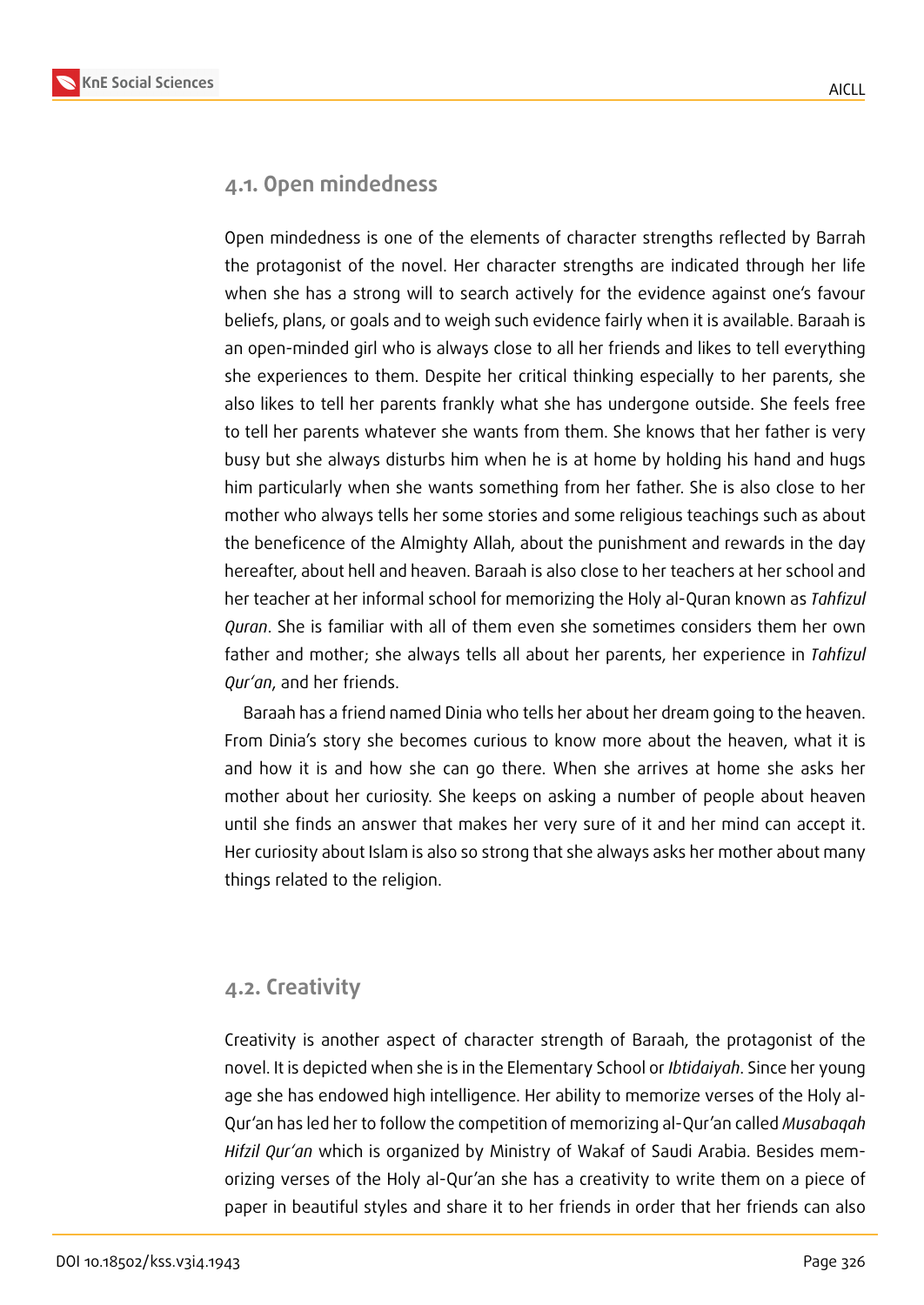

#### **4.1. Open mindedness**

Open mindedness is one of the elements of character strengths reflected by Barrah the protagonist of the novel. Her character strengths are indicated through her life when she has a strong will to search actively for the evidence against one's favour beliefs, plans, or goals and to weigh such evidence fairly when it is available. Baraah is an open-minded girl who is always close to all her friends and likes to tell everything she experiences to them. Despite her critical thinking especially to her parents, she also likes to tell her parents frankly what she has undergone outside. She feels free to tell her parents whatever she wants from them. She knows that her father is very busy but she always disturbs him when he is at home by holding his hand and hugs him particularly when she wants something from her father. She is also close to her mother who always tells her some stories and some religious teachings such as about the beneficence of the Almighty Allah, about the punishment and rewards in the day hereafter, about hell and heaven. Baraah is also close to her teachers at her school and her teacher at her informal school for memorizing the Holy al-Quran known as *Tahfizul Quran*. She is familiar with all of them even she sometimes considers them her own father and mother; she always tells all about her parents, her experience in *Tahfizul Qur'an*, and her friends.

Baraah has a friend named Dinia who tells her about her dream going to the heaven. From Dinia's story she becomes curious to know more about the heaven, what it is and how it is and how she can go there. When she arrives at home she asks her mother about her curiosity. She keeps on asking a number of people about heaven until she finds an answer that makes her very sure of it and her mind can accept it. Her curiosity about Islam is also so strong that she always asks her mother about many things related to the religion.

#### **4.2. Creativity**

Creativity is another aspect of character strength of Baraah, the protagonist of the novel. It is depicted when she is in the Elementary School or *Ibtidaiyah*. Since her young age she has endowed high intelligence. Her ability to memorize verses of the Holy al-Qur'an has led her to follow the competition of memorizing al-Qur'an called *Musabaqah Hifzil Qur'an* which is organized by Ministry of Wakaf of Saudi Arabia. Besides memorizing verses of the Holy al-Qur'an she has a creativity to write them on a piece of paper in beautiful styles and share it to her friends in order that her friends can also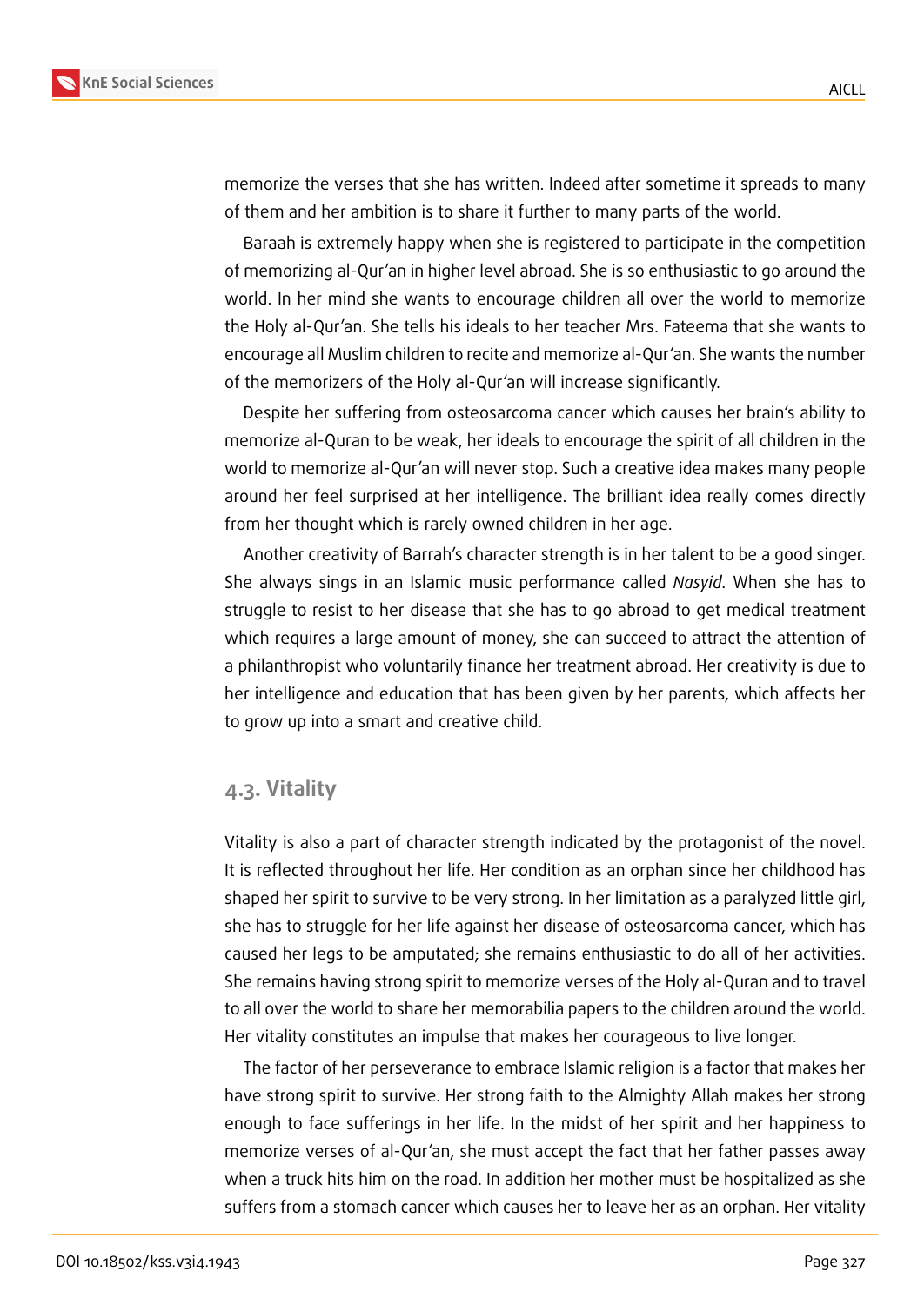

memorize the verses that she has written. Indeed after sometime it spreads to many of them and her ambition is to share it further to many parts of the world.

Baraah is extremely happy when she is registered to participate in the competition of memorizing al-Qur'an in higher level abroad. She is so enthusiastic to go around the world. In her mind she wants to encourage children all over the world to memorize the Holy al-Qur'an. She tells his ideals to her teacher Mrs. Fateema that she wants to encourage all Muslim children to recite and memorize al-Qur'an. She wants the number of the memorizers of the Holy al-Qur'an will increase significantly.

Despite her suffering from osteosarcoma cancer which causes her brain's ability to memorize al-Quran to be weak, her ideals to encourage the spirit of all children in the world to memorize al-Qur'an will never stop. Such a creative idea makes many people around her feel surprised at her intelligence. The brilliant idea really comes directly from her thought which is rarely owned children in her age.

Another creativity of Barrah's character strength is in her talent to be a good singer. She always sings in an Islamic music performance called *Nasyid*. When she has to struggle to resist to her disease that she has to go abroad to get medical treatment which requires a large amount of money, she can succeed to attract the attention of a philanthropist who voluntarily finance her treatment abroad. Her creativity is due to her intelligence and education that has been given by her parents, which affects her to grow up into a smart and creative child.

#### **4.3. Vitality**

Vitality is also a part of character strength indicated by the protagonist of the novel. It is reflected throughout her life. Her condition as an orphan since her childhood has shaped her spirit to survive to be very strong. In her limitation as a paralyzed little girl, she has to struggle for her life against her disease of osteosarcoma cancer, which has caused her legs to be amputated; she remains enthusiastic to do all of her activities. She remains having strong spirit to memorize verses of the Holy al-Quran and to travel to all over the world to share her memorabilia papers to the children around the world. Her vitality constitutes an impulse that makes her courageous to live longer.

The factor of her perseverance to embrace Islamic religion is a factor that makes her have strong spirit to survive. Her strong faith to the Almighty Allah makes her strong enough to face sufferings in her life. In the midst of her spirit and her happiness to memorize verses of al-Qur'an, she must accept the fact that her father passes away when a truck hits him on the road. In addition her mother must be hospitalized as she suffers from a stomach cancer which causes her to leave her as an orphan. Her vitality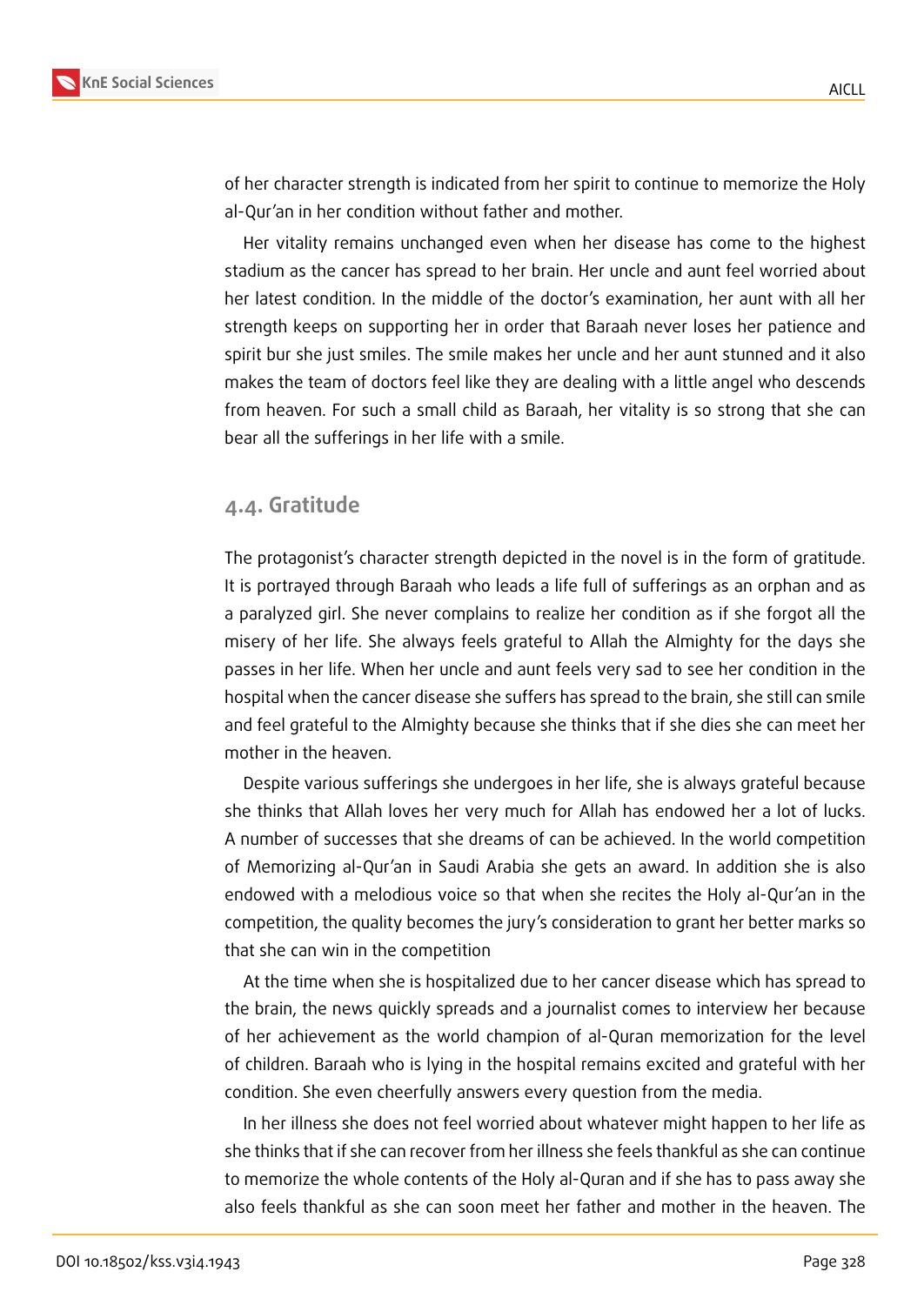

of her character strength is indicated from her spirit to continue to memorize the Holy al-Qur'an in her condition without father and mother.

Her vitality remains unchanged even when her disease has come to the highest stadium as the cancer has spread to her brain. Her uncle and aunt feel worried about her latest condition. In the middle of the doctor's examination, her aunt with all her strength keeps on supporting her in order that Baraah never loses her patience and spirit bur she just smiles. The smile makes her uncle and her aunt stunned and it also makes the team of doctors feel like they are dealing with a little angel who descends from heaven. For such a small child as Baraah, her vitality is so strong that she can bear all the sufferings in her life with a smile.

#### **4.4. Gratitude**

The protagonist's character strength depicted in the novel is in the form of gratitude. It is portrayed through Baraah who leads a life full of sufferings as an orphan and as a paralyzed girl. She never complains to realize her condition as if she forgot all the misery of her life. She always feels grateful to Allah the Almighty for the days she passes in her life. When her uncle and aunt feels very sad to see her condition in the hospital when the cancer disease she suffers has spread to the brain, she still can smile and feel grateful to the Almighty because she thinks that if she dies she can meet her mother in the heaven.

Despite various sufferings she undergoes in her life, she is always grateful because she thinks that Allah loves her very much for Allah has endowed her a lot of lucks. A number of successes that she dreams of can be achieved. In the world competition of Memorizing al-Qur'an in Saudi Arabia she gets an award. In addition she is also endowed with a melodious voice so that when she recites the Holy al-Qur'an in the competition, the quality becomes the jury's consideration to grant her better marks so that she can win in the competition

At the time when she is hospitalized due to her cancer disease which has spread to the brain, the news quickly spreads and a journalist comes to interview her because of her achievement as the world champion of al-Quran memorization for the level of children. Baraah who is lying in the hospital remains excited and grateful with her condition. She even cheerfully answers every question from the media.

In her illness she does not feel worried about whatever might happen to her life as she thinks that if she can recover from her illness she feels thankful as she can continue to memorize the whole contents of the Holy al-Quran and if she has to pass away she also feels thankful as she can soon meet her father and mother in the heaven. The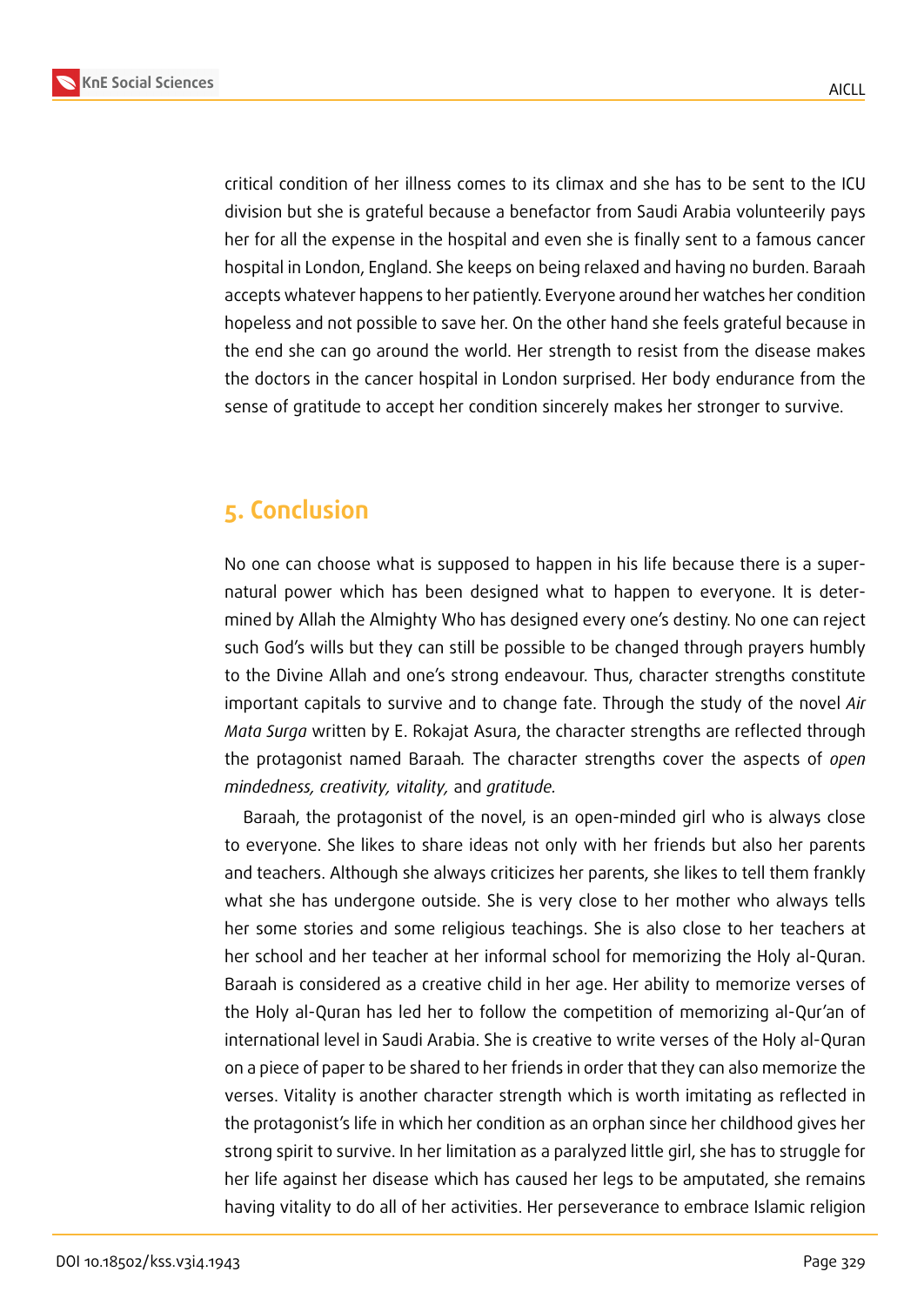

critical condition of her illness comes to its climax and she has to be sent to the ICU division but she is grateful because a benefactor from Saudi Arabia volunteerily pays her for all the expense in the hospital and even she is finally sent to a famous cancer hospital in London, England. She keeps on being relaxed and having no burden. Baraah accepts whatever happens to her patiently. Everyone around her watches her condition hopeless and not possible to save her. On the other hand she feels grateful because in the end she can go around the world. Her strength to resist from the disease makes the doctors in the cancer hospital in London surprised. Her body endurance from the sense of gratitude to accept her condition sincerely makes her stronger to survive.

## **5. Conclusion**

No one can choose what is supposed to happen in his life because there is a supernatural power which has been designed what to happen to everyone. It is determined by Allah the Almighty Who has designed every one's destiny. No one can reject such God's wills but they can still be possible to be changed through prayers humbly to the Divine Allah and one's strong endeavour. Thus, character strengths constitute important capitals to survive and to change fate. Through the study of the novel *Air Mata Surga* written by E. Rokajat Asura, the character strengths are reflected through the protagonist named Baraah*.* The character strengths cover the aspects of *open mindedness, creativity, vitality,* and *gratitude.*

Baraah, the protagonist of the novel, is an open-minded girl who is always close to everyone. She likes to share ideas not only with her friends but also her parents and teachers. Although she always criticizes her parents, she likes to tell them frankly what she has undergone outside. She is very close to her mother who always tells her some stories and some religious teachings. She is also close to her teachers at her school and her teacher at her informal school for memorizing the Holy al-Quran. Baraah is considered as a creative child in her age. Her ability to memorize verses of the Holy al-Quran has led her to follow the competition of memorizing al-Qur'an of international level in Saudi Arabia. She is creative to write verses of the Holy al-Quran on a piece of paper to be shared to her friends in order that they can also memorize the verses. Vitality is another character strength which is worth imitating as reflected in the protagonist's life in which her condition as an orphan since her childhood gives her strong spirit to survive. In her limitation as a paralyzed little girl, she has to struggle for her life against her disease which has caused her legs to be amputated, she remains having vitality to do all of her activities. Her perseverance to embrace Islamic religion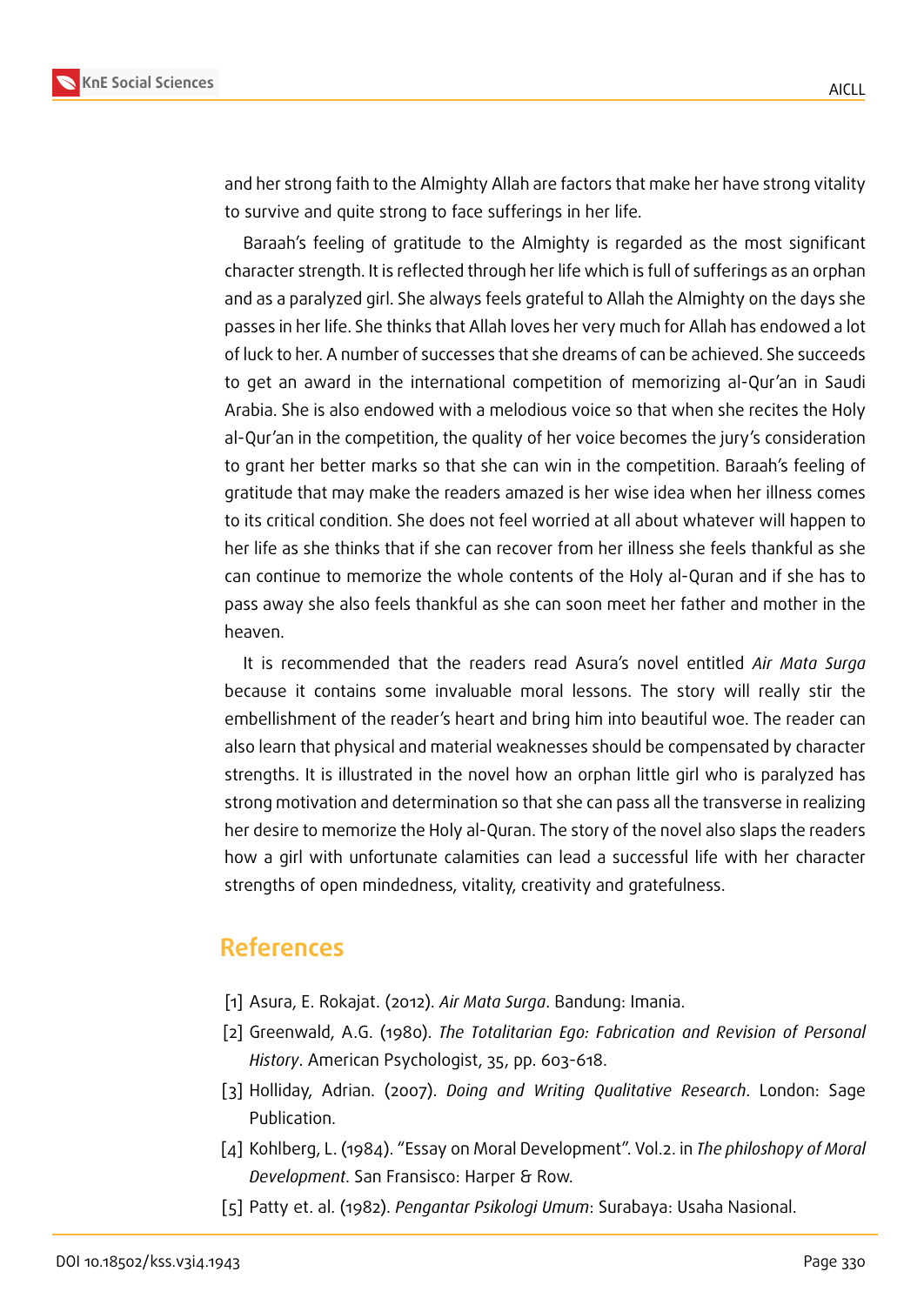

and her strong faith to the Almighty Allah are factors that make her have strong vitality to survive and quite strong to face sufferings in her life.

Baraah's feeling of gratitude to the Almighty is regarded as the most significant character strength. It is reflected through her life which is full of sufferings as an orphan and as a paralyzed girl. She always feels grateful to Allah the Almighty on the days she passes in her life. She thinks that Allah loves her very much for Allah has endowed a lot of luck to her. A number of successes that she dreams of can be achieved. She succeeds to get an award in the international competition of memorizing al-Qur'an in Saudi Arabia. She is also endowed with a melodious voice so that when she recites the Holy al-Qur'an in the competition, the quality of her voice becomes the jury's consideration to grant her better marks so that she can win in the competition. Baraah's feeling of gratitude that may make the readers amazed is her wise idea when her illness comes to its critical condition. She does not feel worried at all about whatever will happen to her life as she thinks that if she can recover from her illness she feels thankful as she can continue to memorize the whole contents of the Holy al-Quran and if she has to pass away she also feels thankful as she can soon meet her father and mother in the heaven.

It is recommended that the readers read Asura's novel entitled *Air Mata Surga* because it contains some invaluable moral lessons. The story will really stir the embellishment of the reader's heart and bring him into beautiful woe. The reader can also learn that physical and material weaknesses should be compensated by character strengths. It is illustrated in the novel how an orphan little girl who is paralyzed has strong motivation and determination so that she can pass all the transverse in realizing her desire to memorize the Holy al-Quran. The story of the novel also slaps the readers how a girl with unfortunate calamities can lead a successful life with her character strengths of open mindedness, vitality, creativity and gratefulness.

### **References**

- [1] Asura, E. Rokajat. (2012). *Air Mata Surga*. Bandung: Imania.
- [2] Greenwald, A.G. (1980). *The Totalitarian Ego: Fabrication and Revision of Personal History*. American Psychologist, 35, pp. 603-618.
- [3] Holliday, Adrian. (2007). *Doing and Writing Qualitative Research*. London: Sage Publication.
- [4] Kohlberg, L. (1984). "Essay on Moral Development". Vol.2. in *The philoshopy of Moral Development*. San Fransisco: Harper & Row.
- [5] Patty et. al. (1982). *Pengantar Psikologi Umum*: Surabaya: Usaha Nasional.